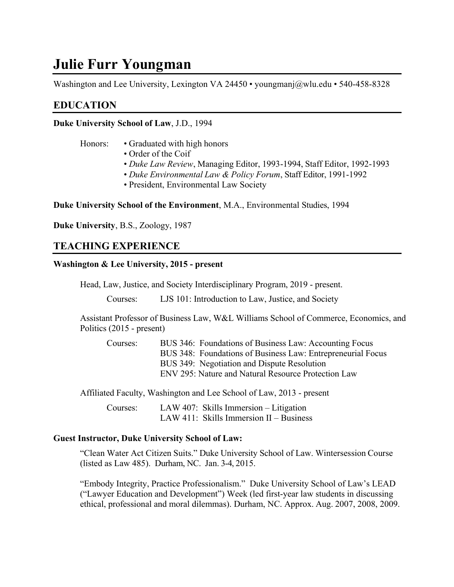# **Julie Furr Youngman**

Washington and Lee University, Lexington VA 24450 • youngmanj@wlu.edu • 540-458-8328

# **EDUCATION**

**Duke University School of Law**, J.D., 1994

- Honors: Graduated with high honors
	- Order of the Coif
	- *Duke Law Review*, Managing Editor, 1993-1994, Staff Editor, 1992-1993
	- *Duke Environmental Law & Policy Forum*, Staff Editor, 1991-1992
	- President, Environmental Law Society

**Duke University School of the Environment**, M.A., Environmental Studies, 1994

**Duke University**, B.S., Zoology, 1987

# **TEACHING EXPERIENCE**

### **Washington & Lee University, 2015 - present**

Head, Law, Justice, and Society Interdisciplinary Program, 2019 - present.

Courses: LJS 101: Introduction to Law, Justice, and Society

Assistant Professor of Business Law, W&L Williams School of Commerce, Economics, and Politics (2015 - present)

Courses: BUS 346: Foundations of Business Law: Accounting Focus BUS 348: Foundations of Business Law: Entrepreneurial Focus BUS 349: Negotiation and Dispute Resolution ENV 295: Nature and Natural Resource Protection Law

Affiliated Faculty, Washington and Lee School of Law, 2013 - present

Courses: LAW 407: Skills Immersion – Litigation LAW 411: Skills Immersion II – Business

### **Guest Instructor, Duke University School of Law:**

"Clean Water Act Citizen Suits." Duke University School of Law. Wintersession Course (listed as Law 485). Durham, NC. Jan. 3-4, 2015.

"Embody Integrity, Practice Professionalism." Duke University School of Law's LEAD ("Lawyer Education and Development") Week (led first-year law students in discussing ethical, professional and moral dilemmas). Durham, NC. Approx. Aug. 2007, 2008, 2009.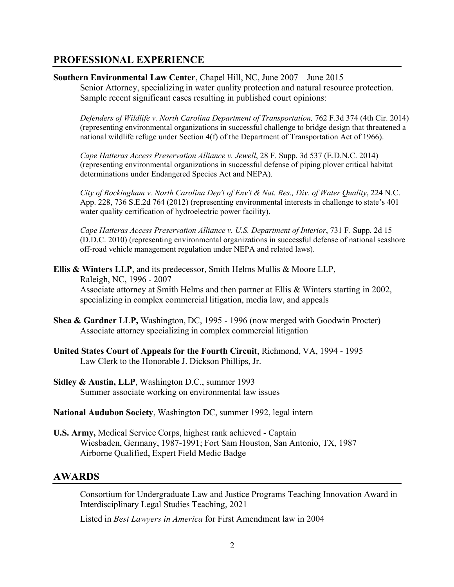# **PROFESSIONAL EXPERIENCE**

**Southern Environmental Law Center**, Chapel Hill, NC, June 2007 – June 2015

Senior Attorney, specializing in water quality protection and natural resource protection. Sample recent significant cases resulting in published court opinions:

*Defenders of Wildlife v. North Carolina Department of Transportation,* 762 F.3d 374 (4th Cir. 2014) (representing environmental organizations in successful challenge to bridge design that threatened a national wildlife refuge under Section 4(f) of the Department of Transportation Act of 1966).

*Cape Hatteras Access Preservation Alliance v. Jewell*, 28 F. Supp. 3d 537 (E.D.N.C. 2014) (representing environmental organizations in successful defense of piping plover critical habitat determinations under Endangered Species Act and NEPA).

*City of Rockingham v. North Carolina Dep't of Env't & Nat. Res., Div. of Water Quality*, 224 N.C. App. 228, 736 S.E.2d 764 (2012) (representing environmental interests in challenge to state's 401 water quality certification of hydroelectric power facility).

*Cape Hatteras Access Preservation Alliance v. U.S. Department of Interior*, 731 F. Supp. 2d 15 (D.D.C. 2010) (representing environmental organizations in successful defense of national seashore off-road vehicle management regulation under NEPA and related laws).

**Ellis & Winters LLP**, and its predecessor, Smith Helms Mullis & Moore LLP, Raleigh, NC, 1996 - 2007 Associate attorney at Smith Helms and then partner at Ellis & Winters starting in 2002, specializing in complex commercial litigation, media law, and appeals

- **Shea & Gardner LLP,** Washington, DC, 1995 1996 (now merged with Goodwin Procter) Associate attorney specializing in complex commercial litigation
- **United States Court of Appeals for the Fourth Circuit**, Richmond, VA, 1994 1995 Law Clerk to the Honorable J. Dickson Phillips, Jr.
- **Sidley & Austin, LLP**, Washington D.C., summer 1993 Summer associate working on environmental law issues

### **National Audubon Society**, Washington DC, summer 1992, legal intern

**U.S. Army,** Medical Service Corps, highest rank achieved - Captain Wiesbaden, Germany, 1987-1991; Fort Sam Houston, San Antonio, TX, 1987 Airborne Qualified, Expert Field Medic Badge

# **AWARDS**

Consortium for Undergraduate Law and Justice Programs Teaching Innovation Award in Interdisciplinary Legal Studies Teaching, 2021

Listed in *Best Lawyers in America* for First Amendment law in 2004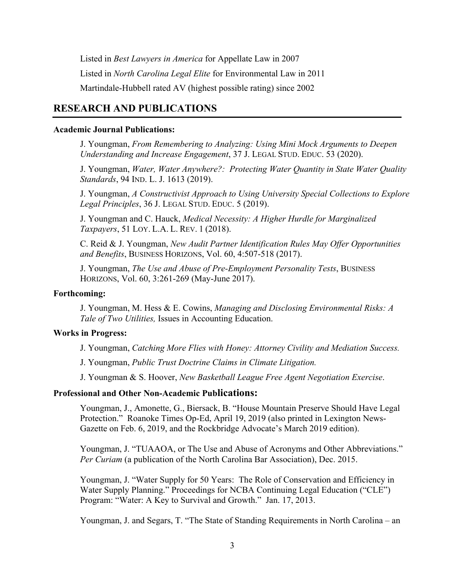Listed in *Best Lawyers in America* for Appellate Law in 2007 Listed in *North Carolina Legal Elite* for Environmental Law in 2011 Martindale-Hubbell rated AV (highest possible rating) since 2002

# **RESEARCH AND PUBLICATIONS**

### **Academic Journal Publications:**

J. Youngman, *From Remembering to Analyzing: Using Mini Mock Arguments to Deepen Understanding and Increase Engagement*, 37 J. LEGAL STUD. EDUC. 53 (2020).

J. Youngman, *Water, Water Anywhere?: Protecting Water Quantity in State Water Quality Standards*, 94 IND. L. J. 1613 (2019).

J. Youngman, *A Constructivist Approach to Using University Special Collections to Explore Legal Principles*, 36 J. LEGAL STUD. EDUC. 5 (2019).

J. Youngman and C. Hauck, *Medical Necessity: A Higher Hurdle for Marginalized Taxpayers*, 51 LOY. L.A. L. REV. 1 (2018).

C. Reid & J. Youngman, *New Audit Partner Identification Rules May Offer Opportunities and Benefits*, BUSINESS HORIZONS, Vol. 60, 4:507-518 (2017).

J. Youngman, *The Use and Abuse of Pre-Employment Personality Tests*, BUSINESS HORIZONS, Vol. 60, 3:261-269 (May-June 2017).

### **Forthcoming:**

J. Youngman, M. Hess & E. Cowins, *Managing and Disclosing Environmental Risks: A Tale of Two Utilities,* Issues in Accounting Education.

### **Works in Progress:**

J. Youngman, *Catching More Flies with Honey: Attorney Civility and Mediation Success.* 

J. Youngman, *Public Trust Doctrine Claims in Climate Litigation.* 

J. Youngman & S. Hoover, *New Basketball League Free Agent Negotiation Exercise*.

### **Professional and Other Non-Academic Publications:**

Youngman, J., Amonette, G., Biersack, B. "House Mountain Preserve Should Have Legal Protection." Roanoke Times Op-Ed, April 19, 2019 (also printed in Lexington News-Gazette on Feb. 6, 2019, and the Rockbridge Advocate's March 2019 edition).

Youngman, J. "TUAAOA, or The Use and Abuse of Acronyms and Other Abbreviations." *Per Curiam* (a publication of the North Carolina Bar Association), Dec. 2015.

Youngman, J. "Water Supply for 50 Years: The Role of Conservation and Efficiency in Water Supply Planning." Proceedings for NCBA Continuing Legal Education ("CLE") Program: "Water: A Key to Survival and Growth." Jan. 17, 2013.

Youngman, J. and Segars, T. "The State of Standing Requirements in North Carolina – an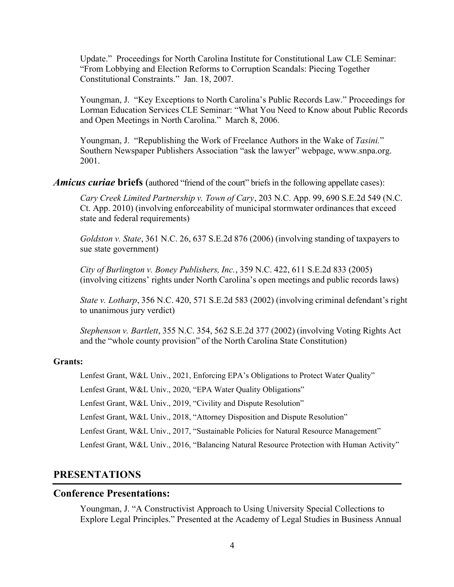Update." Proceedings for North Carolina Institute for Constitutional Law CLE Seminar: "From Lobbying and Election Reforms to Corruption Scandals: Piecing Together Constitutional Constraints." Jan. 18, 2007.

Youngman, J. "Key Exceptions to North Carolina's Public Records Law." Proceedings for Lorman Education Services CLE Seminar: "What You Need to Know about Public Records and Open Meetings in North Carolina." March 8, 2006.

Youngman, J. "Republishing the Work of Freelance Authors in the Wake of *Tasini.*" Southern Newspaper Publishers Association "ask the lawyer" webpage, www.snpa.org. 2001.

*Amicus curiae* **briefs** (authored "friend of the court" briefs in the following appellate cases):

*Cary Creek Limited Partnership v. Town of Cary*, 203 N.C. App. 99, 690 S.E.2d 549 (N.C. Ct. App. 2010) (involving enforceability of municipal stormwater ordinances that exceed state and federal requirements)

*Goldston v. State*, 361 N.C. 26, 637 S.E.2d 876 (2006) (involving standing of taxpayers to sue state government)

*City of Burlington v. Boney Publishers, Inc.*, 359 N.C. 422, 611 S.E.2d 833 (2005) (involving citizens' rights under North Carolina's open meetings and public records laws)

*State v. Lotharp*, 356 N.C. 420, 571 S.E.2d 583 (2002) (involving criminal defendant's right to unanimous jury verdict)

*Stephenson v. Bartlett*, 355 N.C. 354, 562 S.E.2d 377 (2002) (involving Voting Rights Act and the "whole county provision" of the North Carolina State Constitution)

#### **Grants:**

Lenfest Grant, W&L Univ., 2021, Enforcing EPA's Obligations to Protect Water Quality"

Lenfest Grant, W&L Univ., 2020, "EPA Water Quality Obligations"

Lenfest Grant, W&L Univ., 2019, "Civility and Dispute Resolution"

Lenfest Grant, W&L Univ., 2018, "Attorney Disposition and Dispute Resolution"

Lenfest Grant, W&L Univ., 2017, "Sustainable Policies for Natural Resource Management"

Lenfest Grant, W&L Univ., 2016, "Balancing Natural Resource Protection with Human Activity"

# **PRESENTATIONS**

### **Conference Presentations:**

Youngman, J. "A Constructivist Approach to Using University Special Collections to Explore Legal Principles." Presented at the Academy of Legal Studies in Business Annual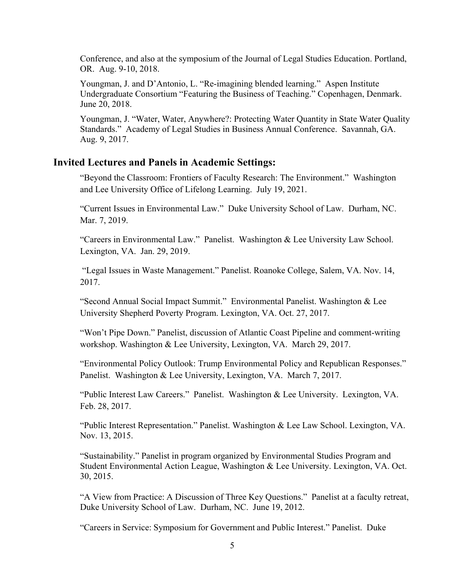Conference, and also at the symposium of the Journal of Legal Studies Education. Portland, OR. Aug. 9-10, 2018.

Youngman, J. and D'Antonio, L. "Re-imagining blended learning." Aspen Institute Undergraduate Consortium "Featuring the Business of Teaching." Copenhagen, Denmark. June 20, 2018.

Youngman, J. "Water, Water, Anywhere?: Protecting Water Quantity in State Water Quality Standards." Academy of Legal Studies in Business Annual Conference. Savannah, GA. Aug. 9, 2017.

# **Invited Lectures and Panels in Academic Settings:**

"Beyond the Classroom: Frontiers of Faculty Research: The Environment." Washington and Lee University Office of Lifelong Learning. July 19, 2021.

"Current Issues in Environmental Law." Duke University School of Law. Durham, NC. Mar. 7, 2019.

"Careers in Environmental Law." Panelist. Washington & Lee University Law School. Lexington, VA. Jan. 29, 2019.

 "Legal Issues in Waste Management." Panelist. Roanoke College, Salem, VA. Nov. 14, 2017.

"Second Annual Social Impact Summit." Environmental Panelist. Washington & Lee University Shepherd Poverty Program. Lexington, VA. Oct. 27, 2017.

"Won't Pipe Down." Panelist, discussion of Atlantic Coast Pipeline and comment-writing workshop. Washington & Lee University, Lexington, VA. March 29, 2017.

"Environmental Policy Outlook: Trump Environmental Policy and Republican Responses." Panelist. Washington & Lee University, Lexington, VA. March 7, 2017.

"Public Interest Law Careers." Panelist. Washington & Lee University. Lexington, VA. Feb. 28, 2017.

"Public Interest Representation." Panelist. Washington & Lee Law School. Lexington, VA. Nov. 13, 2015.

"Sustainability." Panelist in program organized by Environmental Studies Program and Student Environmental Action League, Washington & Lee University. Lexington, VA. Oct. 30, 2015.

"A View from Practice: A Discussion of Three Key Questions." Panelist at a faculty retreat, Duke University School of Law. Durham, NC. June 19, 2012.

"Careers in Service: Symposium for Government and Public Interest." Panelist. Duke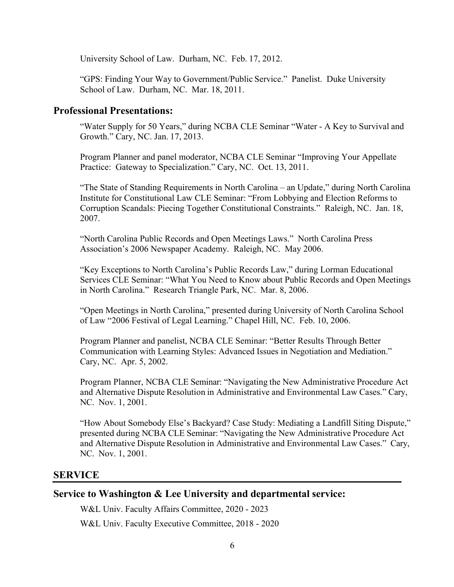University School of Law. Durham, NC. Feb. 17, 2012.

"GPS: Finding Your Way to Government/Public Service." Panelist. Duke University School of Law. Durham, NC. Mar. 18, 2011.

# **Professional Presentations:**

"Water Supply for 50 Years," during NCBA CLE Seminar "Water - A Key to Survival and Growth." Cary, NC. Jan. 17, 2013.

Program Planner and panel moderator, NCBA CLE Seminar "Improving Your Appellate Practice: Gateway to Specialization." Cary, NC. Oct. 13, 2011.

"The State of Standing Requirements in North Carolina – an Update," during North Carolina Institute for Constitutional Law CLE Seminar: "From Lobbying and Election Reforms to Corruption Scandals: Piecing Together Constitutional Constraints." Raleigh, NC. Jan. 18, 2007.

"North Carolina Public Records and Open Meetings Laws." North Carolina Press Association's 2006 Newspaper Academy. Raleigh, NC. May 2006.

"Key Exceptions to North Carolina's Public Records Law," during Lorman Educational Services CLE Seminar: "What You Need to Know about Public Records and Open Meetings in North Carolina." Research Triangle Park, NC. Mar. 8, 2006.

"Open Meetings in North Carolina," presented during University of North Carolina School of Law "2006 Festival of Legal Learning." Chapel Hill, NC. Feb. 10, 2006.

Program Planner and panelist, NCBA CLE Seminar: "Better Results Through Better Communication with Learning Styles: Advanced Issues in Negotiation and Mediation." Cary, NC. Apr. 5, 2002.

Program Planner, NCBA CLE Seminar: "Navigating the New Administrative Procedure Act and Alternative Dispute Resolution in Administrative and Environmental Law Cases." Cary, NC. Nov. 1, 2001.

"How About Somebody Else's Backyard? Case Study: Mediating a Landfill Siting Dispute," presented during NCBA CLE Seminar: "Navigating the New Administrative Procedure Act and Alternative Dispute Resolution in Administrative and Environmental Law Cases." Cary, NC. Nov. 1, 2001.

# **SERVICE**

# **Service to Washington & Lee University and departmental service:**

W&L Univ. Faculty Affairs Committee, 2020 - 2023

W&L Univ. Faculty Executive Committee, 2018 - 2020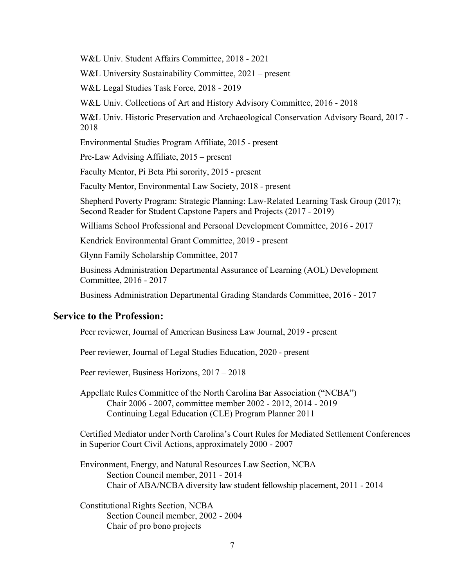W&L Univ. Student Affairs Committee, 2018 - 2021

W&L University Sustainability Committee, 2021 – present

W&L Legal Studies Task Force, 2018 - 2019

W&L Univ. Collections of Art and History Advisory Committee, 2016 - 2018

W&L Univ. Historic Preservation and Archaeological Conservation Advisory Board, 2017 - 2018

Environmental Studies Program Affiliate, 2015 - present

Pre-Law Advising Affiliate, 2015 – present

Faculty Mentor, Pi Beta Phi sorority, 2015 - present

Faculty Mentor, Environmental Law Society, 2018 - present

Shepherd Poverty Program: Strategic Planning: Law-Related Learning Task Group (2017); Second Reader for Student Capstone Papers and Projects (2017 - 2019)

Williams School Professional and Personal Development Committee, 2016 - 2017

Kendrick Environmental Grant Committee, 2019 - present

Glynn Family Scholarship Committee, 2017

Business Administration Departmental Assurance of Learning (AOL) Development Committee, 2016 - 2017

Business Administration Departmental Grading Standards Committee, 2016 - 2017

### **Service to the Profession:**

Peer reviewer, Journal of American Business Law Journal, 2019 - present

Peer reviewer, Journal of Legal Studies Education, 2020 - present

Peer reviewer, Business Horizons, 2017 – 2018

Appellate Rules Committee of the North Carolina Bar Association ("NCBA") Chair 2006 - 2007, committee member 2002 - 2012, 2014 - 2019 Continuing Legal Education (CLE) Program Planner 2011

Certified Mediator under North Carolina's Court Rules for Mediated Settlement Conferences in Superior Court Civil Actions, approximately 2000 - 2007

Environment, Energy, and Natural Resources Law Section, NCBA Section Council member, 2011 - 2014 Chair of ABA/NCBA diversity law student fellowship placement, 2011 - 2014

Constitutional Rights Section, NCBA Section Council member, 2002 - 2004 Chair of pro bono projects